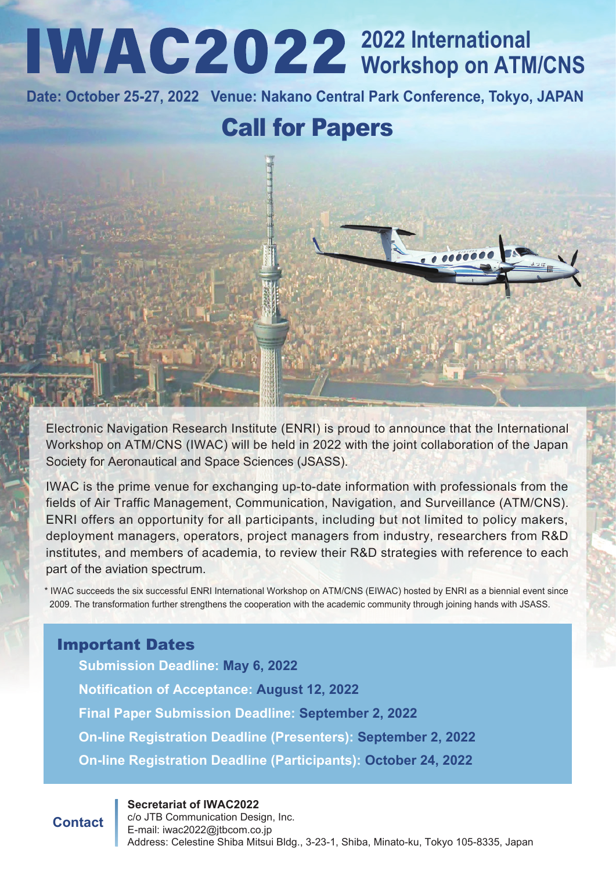## **2022 International Workshop on ATM/CNS**

**Date: October 25-27, 2022 Venue: Nakano Central Park Conference, Tokyo, JAPAN**

## Call for Papers

Electronic Navigation Research Institute (ENRI) is proud to announce that the International Workshop on ATM/CNS (IWAC) will be held in 2022 with the joint collaboration of the Japan Society for Aeronautical and Space Sciences (JSASS).

IWAC is the prime venue for exchanging up-to-date information with professionals from the fields of Air Traffic Management, Communication, Navigation, and Surveillance (ATM/CNS). ENRI offers an opportunity for all participants, including but not limited to policy makers, deployment managers, operators, project managers from industry, researchers from R&D institutes, and members of academia, to review their R&D strategies with reference to each part of the aviation spectrum.

\* IWAC succeeds the six successful ENRI International Workshop on ATM/CNS (EIWAC) hosted by ENRI as a biennial event since 2009. The transformation further strengthens the cooperation with the academic community through joining hands with JSASS.

#### Important Dates

**Submission Deadline: May 6, 2022 Notification of Acceptance: August 12, 2022 Final Paper Submission Deadline: September 2, 2022 On-line Registration Deadline (Presenters): September 2, 2022 On-line Registration Deadline (Participants): October 24, 2022**

#### **Secretariat of IWAC2022**

**Contact**

c/o JTB Communication Design, Inc. E-mail: iwac2022@jtbcom.co.jp Address: Celestine Shiba Mitsui Bldg., 3-23-1, Shiba, Minato-ku, Tokyo 105-8335, Japan